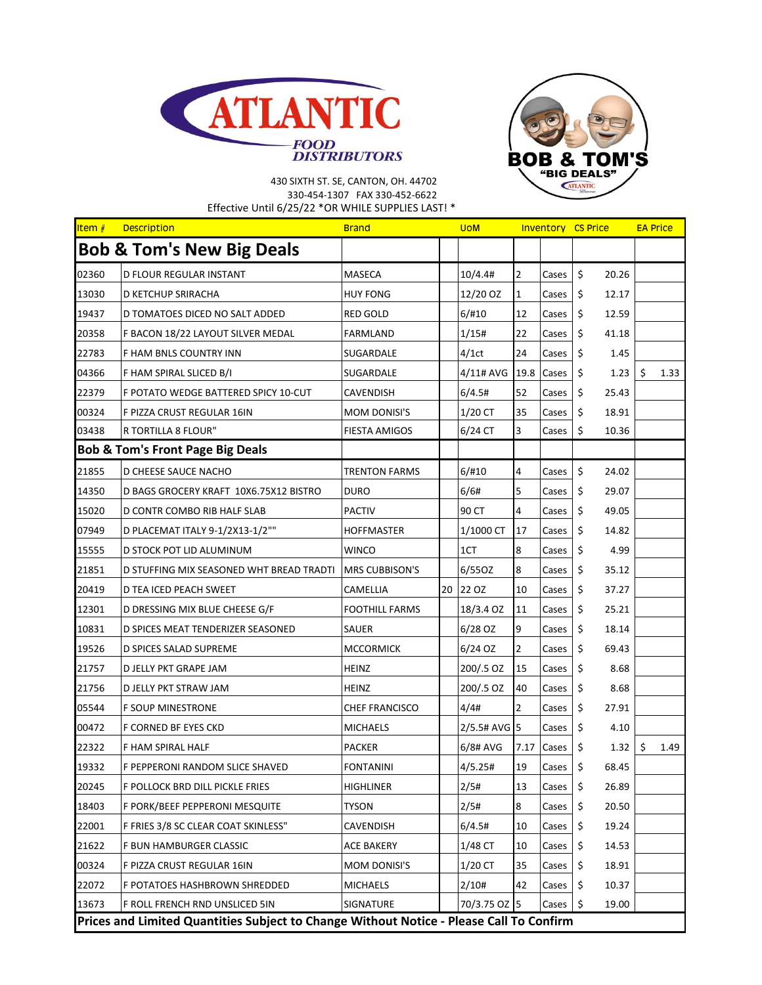



## 430 SIXTH ST. SE, CANTON, OH. 44702 330-454-1307 FAX 330-452-6622 Effective Until 6/25/22 \*OR WHILE SUPPLIES LAST! \*

| Item $#$                                    | <b>Description</b>                                                                      | <b>Brand</b>          |  | <b>UOM</b>   |                |       | <b>Inventory CS Price</b> |       | <b>EA Price</b> |      |  |  |
|---------------------------------------------|-----------------------------------------------------------------------------------------|-----------------------|--|--------------|----------------|-------|---------------------------|-------|-----------------|------|--|--|
|                                             | <b>Bob &amp; Tom's New Big Deals</b>                                                    |                       |  |              |                |       |                           |       |                 |      |  |  |
| 02360                                       | D FLOUR REGULAR INSTANT                                                                 | MASECA                |  | 10/4.4#      | $\overline{2}$ | Cases | \$                        | 20.26 |                 |      |  |  |
| 13030                                       | D KETCHUP SRIRACHA                                                                      | <b>HUY FONG</b>       |  | 12/20 OZ     | $\mathbf 1$    | Cases | \$                        | 12.17 |                 |      |  |  |
| 19437                                       | D TOMATOES DICED NO SALT ADDED                                                          | <b>RED GOLD</b>       |  | 6/#10        | 12             | Cases | \$                        | 12.59 |                 |      |  |  |
| 20358                                       | F BACON 18/22 LAYOUT SILVER MEDAL                                                       | FARMLAND              |  | 1/15#        | 22             | Cases | \$                        | 41.18 |                 |      |  |  |
| 22783                                       | F HAM BNLS COUNTRY INN                                                                  | SUGARDALE             |  | 4/1ct        | 24             | Cases | \$                        | 1.45  |                 |      |  |  |
| 04366                                       | F HAM SPIRAL SLICED B/I                                                                 | SUGARDALE             |  | 4/11# AVG    | 19.8           | Cases | \$                        | 1.23  | \$              | 1.33 |  |  |
| 22379                                       | F POTATO WEDGE BATTERED SPICY 10-CUT                                                    | <b>CAVENDISH</b>      |  | 6/4.5#       | 52             | Cases | \$                        | 25.43 |                 |      |  |  |
| 00324                                       | F PIZZA CRUST REGULAR 16IN                                                              | <b>MOM DONISI'S</b>   |  | 1/20 CT      | 35             | Cases | \$                        | 18.91 |                 |      |  |  |
| 03438                                       | R TORTILLA 8 FLOUR"                                                                     | <b>FIESTA AMIGOS</b>  |  | 6/24 CT      | 3              | Cases | \$                        | 10.36 |                 |      |  |  |
| <b>Bob &amp; Tom's Front Page Big Deals</b> |                                                                                         |                       |  |              |                |       |                           |       |                 |      |  |  |
| 21855                                       | D CHEESE SAUCE NACHO                                                                    | <b>TRENTON FARMS</b>  |  | 6/#10        | 4              | Cases | \$                        | 24.02 |                 |      |  |  |
| 14350                                       | D BAGS GROCERY KRAFT 10X6.75X12 BISTRO                                                  | DURO                  |  | 6/6#         | 5              | Cases | \$                        | 29.07 |                 |      |  |  |
| 15020                                       | D CONTR COMBO RIB HALF SLAB                                                             | <b>PACTIV</b>         |  | 90 CT        | 4              | Cases | \$                        | 49.05 |                 |      |  |  |
| 07949                                       | D PLACEMAT ITALY 9-1/2X13-1/2""                                                         | <b>HOFFMASTER</b>     |  | 1/1000 CT    | 17             | Cases | \$                        | 14.82 |                 |      |  |  |
| 15555                                       | D STOCK POT LID ALUMINUM                                                                | WINCO                 |  | 1CT          | 8              | Cases | \$                        | 4.99  |                 |      |  |  |
| 21851                                       | D STUFFING MIX SEASONED WHT BREAD TRADTI                                                | <b>MRS CUBBISON'S</b> |  | 6/55OZ       | 8              | Cases | \$                        | 35.12 |                 |      |  |  |
| 20419                                       | D TEA ICED PEACH SWEET                                                                  | CAMELLIA              |  | 20 22 OZ     | 10             | Cases | \$                        | 37.27 |                 |      |  |  |
| 12301                                       | D DRESSING MIX BLUE CHEESE G/F                                                          | <b>FOOTHILL FARMS</b> |  | 18/3.4 OZ    | 11             | Cases | \$                        | 25.21 |                 |      |  |  |
| 10831                                       | D SPICES MEAT TENDERIZER SEASONED                                                       | SAUER                 |  | $6/28$ OZ    | 9              | Cases | \$                        | 18.14 |                 |      |  |  |
| 19526                                       | D SPICES SALAD SUPREME                                                                  | <b>MCCORMICK</b>      |  | 6/24 OZ      | $\overline{2}$ | Cases | \$                        | 69.43 |                 |      |  |  |
| 21757                                       | D JELLY PKT GRAPE JAM                                                                   | <b>HEINZ</b>          |  | 200/.5 OZ    | 15             | Cases | \$                        | 8.68  |                 |      |  |  |
| 21756                                       | D JELLY PKT STRAW JAM                                                                   | <b>HEINZ</b>          |  | 200/.5 OZ    | 40             | Cases | \$                        | 8.68  |                 |      |  |  |
| 05544                                       | F SOUP MINESTRONE                                                                       | <b>CHEF FRANCISCO</b> |  | 4/4#         | $\overline{2}$ | Cases | \$                        | 27.91 |                 |      |  |  |
| 00472                                       | F CORNED BF EYES CKD                                                                    | <b>MICHAELS</b>       |  | 2/5.5# AVG 5 |                | Cases | \$                        | 4.10  |                 |      |  |  |
| 22322                                       | F HAM SPIRAL HALF                                                                       | <b>PACKER</b>         |  | 6/8# AVG     | 7.17           | Cases | \$                        | 1.32  | \$              | 1.49 |  |  |
| 19332                                       | F PEPPERONI RANDOM SLICE SHAVED                                                         | <b>FONTANINI</b>      |  | 4/5.25#      | 19             | Cases | \$                        | 68.45 |                 |      |  |  |
| 20245                                       | F POLLOCK BRD DILL PICKLE FRIES                                                         | <b>HIGHLINER</b>      |  | 2/5#         | 13             | Cases | \$                        | 26.89 |                 |      |  |  |
| 18403                                       | F PORK/BEEF PEPPERONI MESQUITE                                                          | <b>TYSON</b>          |  | 2/5#         | 8              | Cases | \$                        | 20.50 |                 |      |  |  |
| 22001                                       | F FRIES 3/8 SC CLEAR COAT SKINLESS"                                                     | CAVENDISH             |  | 6/4.5#       | 10             | Cases | \$                        | 19.24 |                 |      |  |  |
| 21622                                       | F BUN HAMBURGER CLASSIC                                                                 | <b>ACE BAKERY</b>     |  | 1/48 CT      | 10             | Cases | \$                        | 14.53 |                 |      |  |  |
| 00324                                       | F PIZZA CRUST REGULAR 16IN                                                              | MOM DONISI'S          |  | $1/20$ CT    | 35             | Cases | \$                        | 18.91 |                 |      |  |  |
| 22072                                       | F POTATOES HASHBROWN SHREDDED                                                           | <b>MICHAELS</b>       |  | 2/10#        | 42             | Cases | \$                        | 10.37 |                 |      |  |  |
| 13673                                       | F ROLL FRENCH RND UNSLICED 5IN                                                          | SIGNATURE             |  | 70/3.75 OZ 5 |                | Cases | \$                        | 19.00 |                 |      |  |  |
|                                             | Prices and Limited Quantities Subject to Change Without Notice - Please Call To Confirm |                       |  |              |                |       |                           |       |                 |      |  |  |